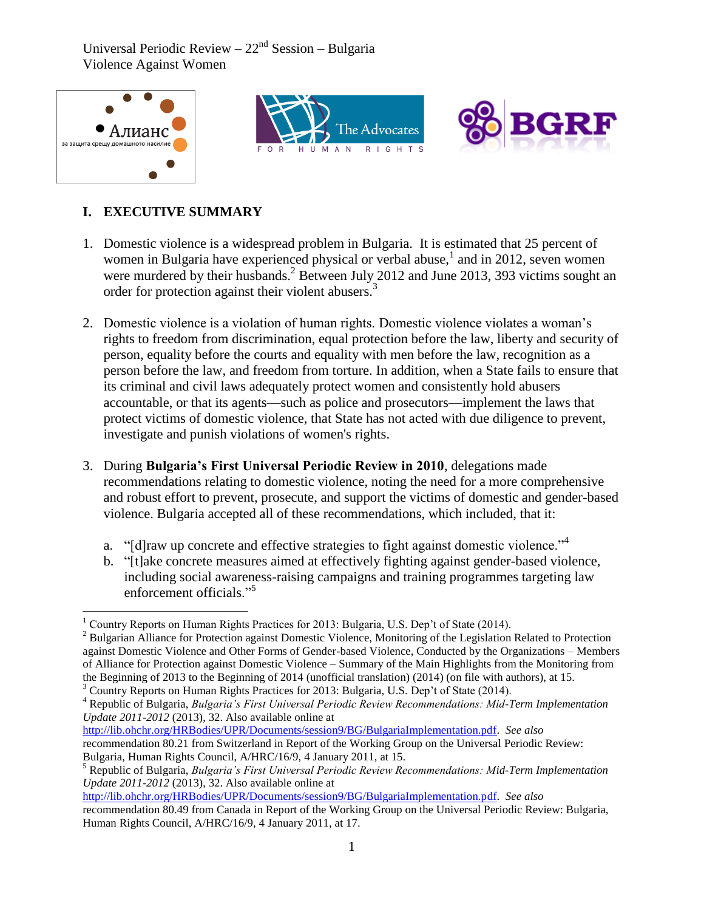





## **I. EXECUTIVE SUMMARY**

- 1. Domestic violence is a widespread problem in Bulgaria. It is estimated that 25 percent of women in Bulgaria have experienced physical or verbal abuse,<sup>1</sup> and in 2012, seven women were murdered by their husbands.<sup>2</sup> Between July 2012 and June 2013, 393 victims sought an order for protection against their violent abusers.<sup>3</sup>
- 2. Domestic violence is a violation of human rights. Domestic violence violates a woman's rights to freedom from discrimination, equal protection before the law, liberty and security of person, equality before the courts and equality with men before the law, recognition as a person before the law, and freedom from torture. In addition, when a State fails to ensure that its criminal and civil laws adequately protect women and consistently hold abusers accountable, or that its agents—such as police and prosecutors—implement the laws that protect victims of domestic violence, that State has not acted with due diligence to prevent, investigate and punish violations of women's rights.
- 3. During **Bulgaria's First Universal Periodic Review in 2010**, delegations made recommendations relating to domestic violence, noting the need for a more comprehensive and robust effort to prevent, prosecute, and support the victims of domestic and gender-based violence. Bulgaria accepted all of these recommendations, which included, that it:
	- a. "[d]raw up concrete and effective strategies to fight against domestic violence."<sup>4</sup>
	- b. "[t]ake concrete measures aimed at effectively fighting against gender-based violence, including social awareness-raising campaigns and training programmes targeting law enforcement officials."<sup>5</sup>

 $\overline{a}$  $1$  Country Reports on Human Rights Practices for 2013: Bulgaria, U.S. Dep't of State (2014).

<sup>&</sup>lt;sup>2</sup> Bulgarian Alliance for Protection against Domestic Violence, Monitoring of the Legislation Related to Protection against Domestic Violence and Other Forms of Gender-based Violence, Conducted by the Organizations – Members of Alliance for Protection against Domestic Violence – Summary of the Main Highlights from the Monitoring from the Beginning of 2013 to the Beginning of 2014 (unofficial translation) (2014) (on file with authors), at 15.

 $3$  Country Reports on Human Rights Practices for 2013: Bulgaria, U.S. Dep't of State (2014).

<sup>4</sup> Republic of Bulgaria, *Bulgaria's First Universal Periodic Review Recommendations: Mid-Term Implementation Update 2011-2012* (2013), 32. Also available online at

[http://lib.ohchr.org/HRBodies/UPR/Documents/session9/BG/BulgariaImplementation.pdf.](http://lib.ohchr.org/HRBodies/UPR/Documents/session9/BG/BulgariaImplementation.pdf) *See also* recommendation 80.21 from Switzerland in Report of the Working Group on the Universal Periodic Review: Bulgaria, Human Rights Council, A/HRC/16/9, 4 January 2011, at 15.

<sup>5</sup> Republic of Bulgaria, *Bulgaria's First Universal Periodic Review Recommendations: Mid-Term Implementation Update 2011-2012* (2013), 32. Also available online at

[http://lib.ohchr.org/HRBodies/UPR/Documents/session9/BG/BulgariaImplementation.pdf.](http://lib.ohchr.org/HRBodies/UPR/Documents/session9/BG/BulgariaImplementation.pdf) *See also* recommendation 80.49 from Canada in Report of the Working Group on the Universal Periodic Review: Bulgaria, Human Rights Council, A/HRC/16/9, 4 January 2011, at 17.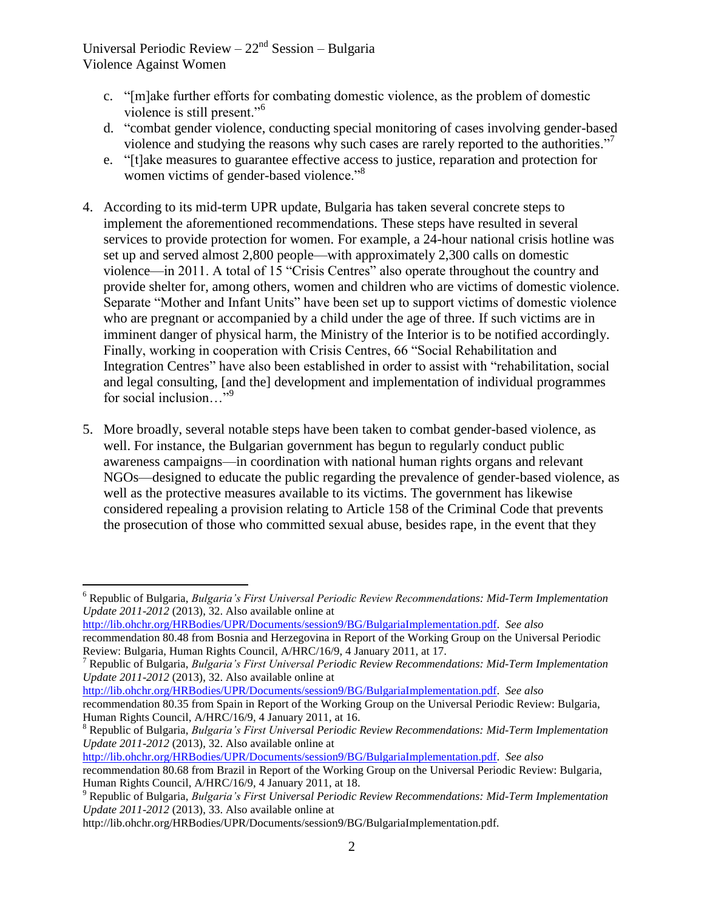- c. "[m]ake further efforts for combating domestic violence, as the problem of domestic violence is still present."<sup>6</sup>
- d. "combat gender violence, conducting special monitoring of cases involving gender-based violence and studying the reasons why such cases are rarely reported to the authorities."
- e. "[t]ake measures to guarantee effective access to justice, reparation and protection for women victims of gender-based violence."<sup>8</sup>
- 4. According to its mid-term UPR update, Bulgaria has taken several concrete steps to implement the aforementioned recommendations. These steps have resulted in several services to provide protection for women. For example, a 24-hour national crisis hotline was set up and served almost 2,800 people—with approximately 2,300 calls on domestic violence—in 2011. A total of 15 "Crisis Centres" also operate throughout the country and provide shelter for, among others, women and children who are victims of domestic violence. Separate "Mother and Infant Units" have been set up to support victims of domestic violence who are pregnant or accompanied by a child under the age of three. If such victims are in imminent danger of physical harm, the Ministry of the Interior is to be notified accordingly. Finally, working in cooperation with Crisis Centres, 66 "Social Rehabilitation and Integration Centres" have also been established in order to assist with "rehabilitation, social and legal consulting, [and the] development and implementation of individual programmes for social inclusion..."<sup>9</sup>
- 5. More broadly, several notable steps have been taken to combat gender-based violence, as well. For instance, the Bulgarian government has begun to regularly conduct public awareness campaigns—in coordination with national human rights organs and relevant NGOs—designed to educate the public regarding the prevalence of gender-based violence, as well as the protective measures available to its victims. The government has likewise considered repealing a provision relating to Article 158 of the Criminal Code that prevents the prosecution of those who committed sexual abuse, besides rape, in the event that they

[http://lib.ohchr.org/HRBodies/UPR/Documents/session9/BG/BulgariaImplementation.pdf.](http://lib.ohchr.org/HRBodies/UPR/Documents/session9/BG/BulgariaImplementation.pdf) *See also*

 $\overline{a}$ 

[http://lib.ohchr.org/HRBodies/UPR/Documents/session9/BG/BulgariaImplementation.pdf.](http://lib.ohchr.org/HRBodies/UPR/Documents/session9/BG/BulgariaImplementation.pdf) *See also*

[http://lib.ohchr.org/HRBodies/UPR/Documents/session9/BG/BulgariaImplementation.pdf.](http://lib.ohchr.org/HRBodies/UPR/Documents/session9/BG/BulgariaImplementation.pdf) *See also*

<sup>6</sup> Republic of Bulgaria, *Bulgaria's First Universal Periodic Review Recommendations: Mid-Term Implementation Update 2011-2012* (2013), 32. Also available online at

recommendation 80.48 from Bosnia and Herzegovina in Report of the Working Group on the Universal Periodic Review: Bulgaria, Human Rights Council, A/HRC/16/9, 4 January 2011, at 17.

<sup>7</sup> Republic of Bulgaria, *Bulgaria's First Universal Periodic Review Recommendations: Mid-Term Implementation Update 2011-2012* (2013), 32. Also available online at

recommendation 80.35 from Spain in Report of the Working Group on the Universal Periodic Review: Bulgaria, Human Rights Council, A/HRC/16/9, 4 January 2011, at 16.

<sup>8</sup> Republic of Bulgaria, *Bulgaria's First Universal Periodic Review Recommendations: Mid-Term Implementation Update 2011-2012* (2013), 32. Also available online at

recommendation 80.68 from Brazil in Report of the Working Group on the Universal Periodic Review: Bulgaria, Human Rights Council, A/HRC/16/9, 4 January 2011, at 18.

<sup>9</sup> Republic of Bulgaria, *Bulgaria's First Universal Periodic Review Recommendations: Mid-Term Implementation Update 2011-2012* (2013), 33. Also available online at

http://lib.ohchr.org/HRBodies/UPR/Documents/session9/BG/BulgariaImplementation.pdf.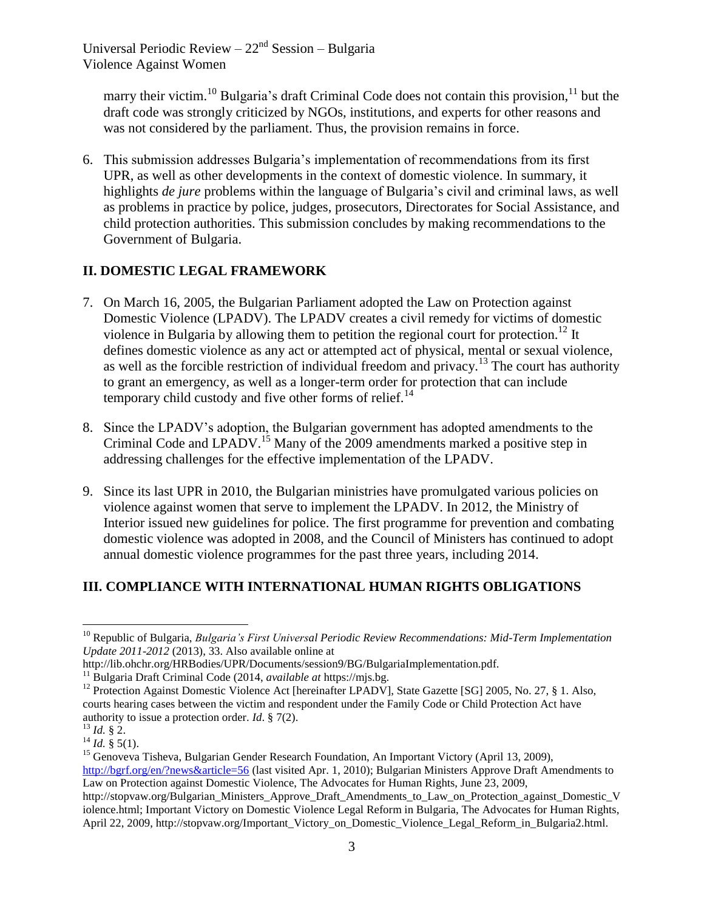marry their victim.<sup>10</sup> Bulgaria's draft Criminal Code does not contain this provision.<sup>11</sup> but the draft code was strongly criticized by NGOs, institutions, and experts for other reasons and was not considered by the parliament. Thus, the provision remains in force.

6. This submission addresses Bulgaria's implementation of recommendations from its first UPR, as well as other developments in the context of domestic violence. In summary, it highlights *de jure* problems within the language of Bulgaria's civil and criminal laws, as well as problems in practice by police, judges, prosecutors, Directorates for Social Assistance, and child protection authorities. This submission concludes by making recommendations to the Government of Bulgaria.

## **II. DOMESTIC LEGAL FRAMEWORK**

- 7. On March 16, 2005, the Bulgarian Parliament adopted the Law on Protection against Domestic Violence (LPADV). The LPADV creates a civil remedy for victims of domestic violence in Bulgaria by allowing them to petition the regional court for protection.<sup>12</sup> It defines domestic violence as any act or attempted act of physical, mental or sexual violence, as well as the forcible restriction of individual freedom and privacy.<sup>13</sup> The court has authority to grant an emergency, as well as a longer-term order for protection that can include temporary child custody and five other forms of relief.<sup>14</sup>
- 8. Since the LPADV's adoption, the Bulgarian government has adopted amendments to the Criminal Code and LPADV.<sup>15</sup> Many of the 2009 amendments marked a positive step in addressing challenges for the effective implementation of the LPADV.
- 9. Since its last UPR in 2010, the Bulgarian ministries have promulgated various policies on violence against women that serve to implement the LPADV. In 2012, the Ministry of Interior issued new guidelines for police. The first programme for prevention and combating domestic violence was adopted in 2008, and the Council of Ministers has continued to adopt annual domestic violence programmes for the past three years, including 2014.

## **III. COMPLIANCE WITH INTERNATIONAL HUMAN RIGHTS OBLIGATIONS**

<sup>10</sup> Republic of Bulgaria, *Bulgaria's First Universal Periodic Review Recommendations: Mid-Term Implementation Update 2011-2012* (2013), 33. Also available online at

http://lib.ohchr.org/HRBodies/UPR/Documents/session9/BG/BulgariaImplementation.pdf.

<sup>11</sup> Bulgaria Draft Criminal Code (2014, *available at* https://mjs.bg.

<sup>&</sup>lt;sup>12</sup> Protection Against Domestic Violence Act [hereinafter LPADV], State Gazette [SG] 2005, No. 27, § 1. Also, courts hearing cases between the victim and respondent under the Family Code or Child Protection Act have authority to issue a protection order. *Id*. § 7(2).

 $^{13}$  *Id.* § 2.

 $^{14}$  *Id.* § 5(1).

<sup>&</sup>lt;sup>15</sup> Genoveva Tisheva, Bulgarian Gender Research Foundation, An Important Victory (April 13, 2009), <http://bgrf.org/en/?news&article=56> (last visited Apr. 1, 2010); Bulgarian Ministers Approve Draft Amendments to Law on Protection against Domestic Violence, The Advocates for Human Rights, June 23, 2009,

http://stopvaw.org/Bulgarian\_Ministers\_Approve\_Draft\_Amendments\_to\_Law\_on\_Protection\_against\_Domestic\_V iolence.html; Important Victory on Domestic Violence Legal Reform in Bulgaria, The Advocates for Human Rights, April 22, 2009, http://stopvaw.org/Important\_Victory\_on\_Domestic\_Violence\_Legal\_Reform\_in\_Bulgaria2.html.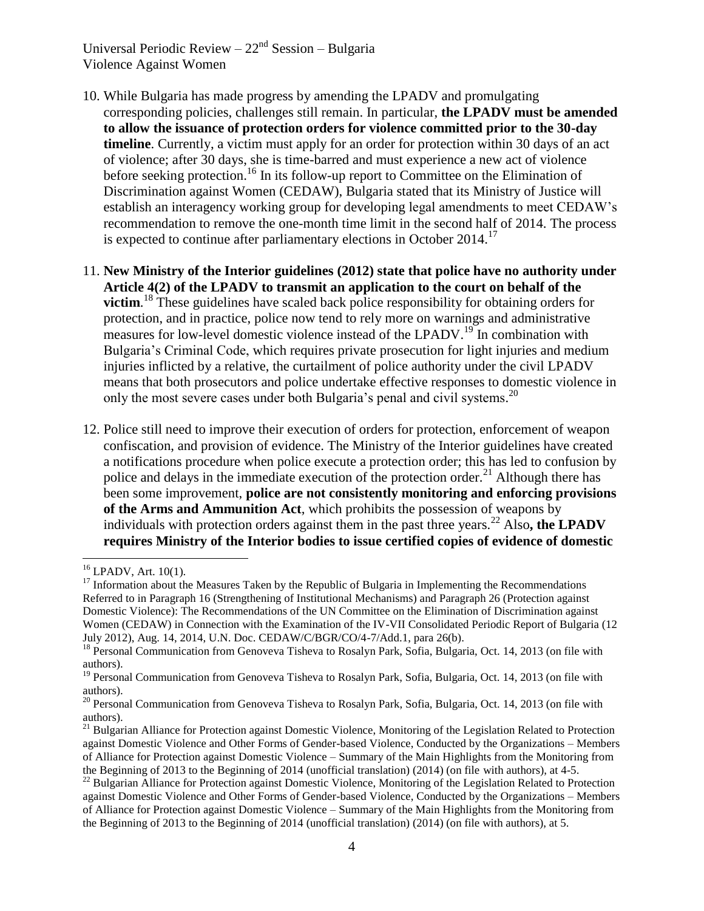- 10. While Bulgaria has made progress by amending the LPADV and promulgating corresponding policies, challenges still remain. In particular, **the LPADV must be amended to allow the issuance of protection orders for violence committed prior to the 30-day timeline**. Currently, a victim must apply for an order for protection within 30 days of an act of violence; after 30 days, she is time-barred and must experience a new act of violence before seeking protection.<sup>16</sup> In its follow-up report to Committee on the Elimination of Discrimination against Women (CEDAW), Bulgaria stated that its Ministry of Justice will establish an interagency working group for developing legal amendments to meet CEDAW's recommendation to remove the one-month time limit in the second half of 2014. The process is expected to continue after parliamentary elections in October 2014.<sup>17</sup>
- 11. **New Ministry of the Interior guidelines (2012) state that police have no authority under Article 4(2) of the LPADV to transmit an application to the court on behalf of the victim**. <sup>18</sup> These guidelines have scaled back police responsibility for obtaining orders for protection, and in practice, police now tend to rely more on warnings and administrative measures for low-level domestic violence instead of the LPADV.<sup>19</sup> In combination with Bulgaria's Criminal Code, which requires private prosecution for light injuries and medium injuries inflicted by a relative, the curtailment of police authority under the civil LPADV means that both prosecutors and police undertake effective responses to domestic violence in only the most severe cases under both Bulgaria's penal and civil systems.<sup>20</sup>
- 12. Police still need to improve their execution of orders for protection, enforcement of weapon confiscation, and provision of evidence. The Ministry of the Interior guidelines have created a notifications procedure when police execute a protection order; this has led to confusion by police and delays in the immediate execution of the protection order.<sup>21</sup> Although there has been some improvement, **police are not consistently monitoring and enforcing provisions of the Arms and Ammunition Act**, which prohibits the possession of weapons by individuals with protection orders against them in the past three years.<sup>22</sup> Also, the LPADV **requires Ministry of the Interior bodies to issue certified copies of evidence of domestic**

<sup>16</sup> LPADV, Art. 10(1).

 $17$  Information about the Measures Taken by the Republic of Bulgaria in Implementing the Recommendations Referred to in Paragraph 16 (Strengthening of Institutional Mechanisms) and Paragraph 26 (Protection against Domestic Violence): The Recommendations of the UN Committee on the Elimination of Discrimination against Women (CEDAW) in Connection with the Examination of the IV-VII Consolidated Periodic Report of Bulgaria (12 July 2012), Aug. 14, 2014, U.N. Doc. CEDAW/C/BGR/CO/4-7/Add.1, para 26(b).

<sup>&</sup>lt;sup>18</sup> Personal Communication from Genoveva Tisheva to Rosalyn Park, Sofia, Bulgaria, Oct. 14, 2013 (on file with authors).

<sup>&</sup>lt;sup>19</sup> Personal Communication from Genoveva Tisheva to Rosalyn Park, Sofia, Bulgaria, Oct. 14, 2013 (on file with authors).

<sup>&</sup>lt;sup>20</sup> Personal Communication from Genoveva Tisheva to Rosalyn Park, Sofia, Bulgaria, Oct. 14, 2013 (on file with authors).

 $^{21}$  Bulgarian Alliance for Protection against Domestic Violence, Monitoring of the Legislation Related to Protection against Domestic Violence and Other Forms of Gender-based Violence, Conducted by the Organizations – Members of Alliance for Protection against Domestic Violence – Summary of the Main Highlights from the Monitoring from the Beginning of 2013 to the Beginning of 2014 (unofficial translation) (2014) (on file with authors), at 4-5.

<sup>&</sup>lt;sup>22</sup> Bulgarian Alliance for Protection against Domestic Violence, Monitoring of the Legislation Related to Protection against Domestic Violence and Other Forms of Gender-based Violence, Conducted by the Organizations – Members of Alliance for Protection against Domestic Violence – Summary of the Main Highlights from the Monitoring from the Beginning of 2013 to the Beginning of 2014 (unofficial translation) (2014) (on file with authors), at 5.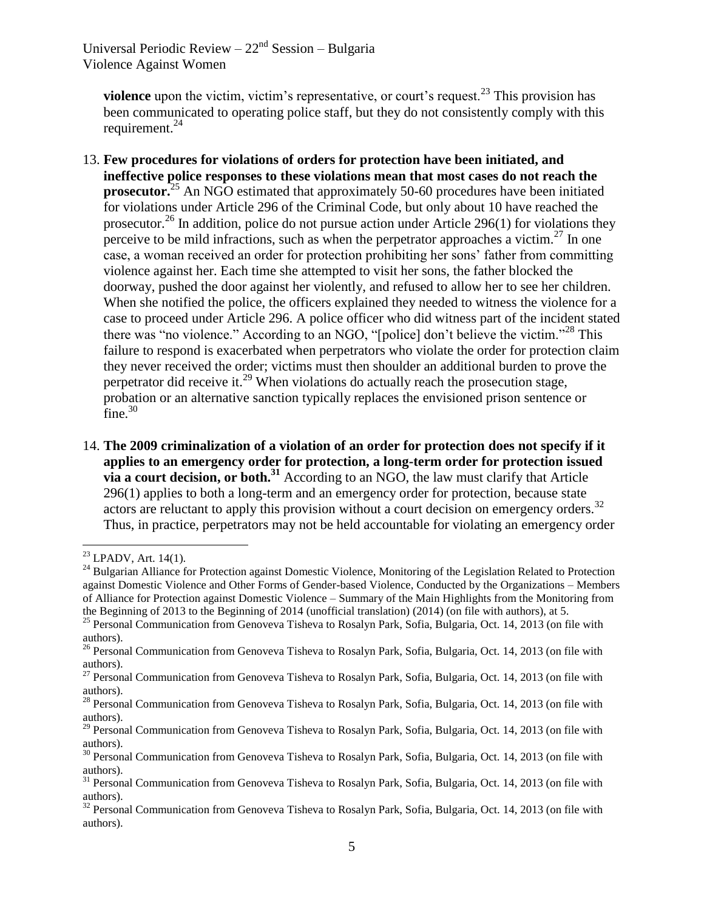**violence** upon the victim, victim's representative, or court's request.<sup>23</sup> This provision has been communicated to operating police staff, but they do not consistently comply with this requirement.<sup>24</sup>

- 13. **Few procedures for violations of orders for protection have been initiated, and ineffective police responses to these violations mean that most cases do not reach the prosecutor.**<sup>25</sup> An NGO estimated that approximately 50-60 procedures have been initiated for violations under Article 296 of the Criminal Code, but only about 10 have reached the prosecutor.<sup>26</sup> In addition, police do not pursue action under Article 296(1) for violations they perceive to be mild infractions, such as when the perpetrator approaches a victim.<sup>27</sup> In one case, a woman received an order for protection prohibiting her sons' father from committing violence against her. Each time she attempted to visit her sons, the father blocked the doorway, pushed the door against her violently, and refused to allow her to see her children. When she notified the police, the officers explained they needed to witness the violence for a case to proceed under Article 296. A police officer who did witness part of the incident stated there was "no violence." According to an NGO, "[police] don't believe the victim."<sup>28</sup> This failure to respond is exacerbated when perpetrators who violate the order for protection claim they never received the order; victims must then shoulder an additional burden to prove the perpetrator did receive it.<sup>29</sup> When violations do actually reach the prosecution stage, probation or an alternative sanction typically replaces the envisioned prison sentence or fine. $30$
- 14. **The 2009 criminalization of a violation of an order for protection does not specify if it applies to an emergency order for protection, a long-term order for protection issued via a court decision, or both.<sup>31</sup>** According to an NGO, the law must clarify that Article 296(1) applies to both a long-term and an emergency order for protection, because state actors are reluctant to apply this provision without a court decision on emergency orders.<sup>32</sup> Thus, in practice, perpetrators may not be held accountable for violating an emergency order

 $23$  LPADV, Art. 14(1).

<sup>&</sup>lt;sup>24</sup> Bulgarian Alliance for Protection against Domestic Violence, Monitoring of the Legislation Related to Protection against Domestic Violence and Other Forms of Gender-based Violence, Conducted by the Organizations – Members of Alliance for Protection against Domestic Violence – Summary of the Main Highlights from the Monitoring from the Beginning of 2013 to the Beginning of 2014 (unofficial translation) (2014) (on file with authors), at 5.

<sup>&</sup>lt;sup>25</sup> Personal Communication from Genoveva Tisheva to Rosalyn Park, Sofia, Bulgaria, Oct. 14, 2013 (on file with authors).

<sup>&</sup>lt;sup>26</sup> Personal Communication from Genoveva Tisheva to Rosalyn Park, Sofia, Bulgaria, Oct. 14, 2013 (on file with authors).

<sup>&</sup>lt;sup>27</sup> Personal Communication from Genoveva Tisheva to Rosalyn Park, Sofia, Bulgaria, Oct. 14, 2013 (on file with authors).

<sup>&</sup>lt;sup>28</sup> Personal Communication from Genoveva Tisheva to Rosalyn Park, Sofia, Bulgaria, Oct. 14, 2013 (on file with authors).

<sup>&</sup>lt;sup>29</sup> Personal Communication from Genoveva Tisheva to Rosalyn Park, Sofia, Bulgaria, Oct. 14, 2013 (on file with authors).

<sup>&</sup>lt;sup>30</sup> Personal Communication from Genoveva Tisheva to Rosalyn Park, Sofia, Bulgaria, Oct. 14, 2013 (on file with authors).

<sup>&</sup>lt;sup>31</sup> Personal Communication from Genoveva Tisheva to Rosalyn Park, Sofia, Bulgaria, Oct. 14, 2013 (on file with authors).

 $32$  Personal Communication from Genoveva Tisheva to Rosalyn Park, Sofia, Bulgaria, Oct. 14, 2013 (on file with authors).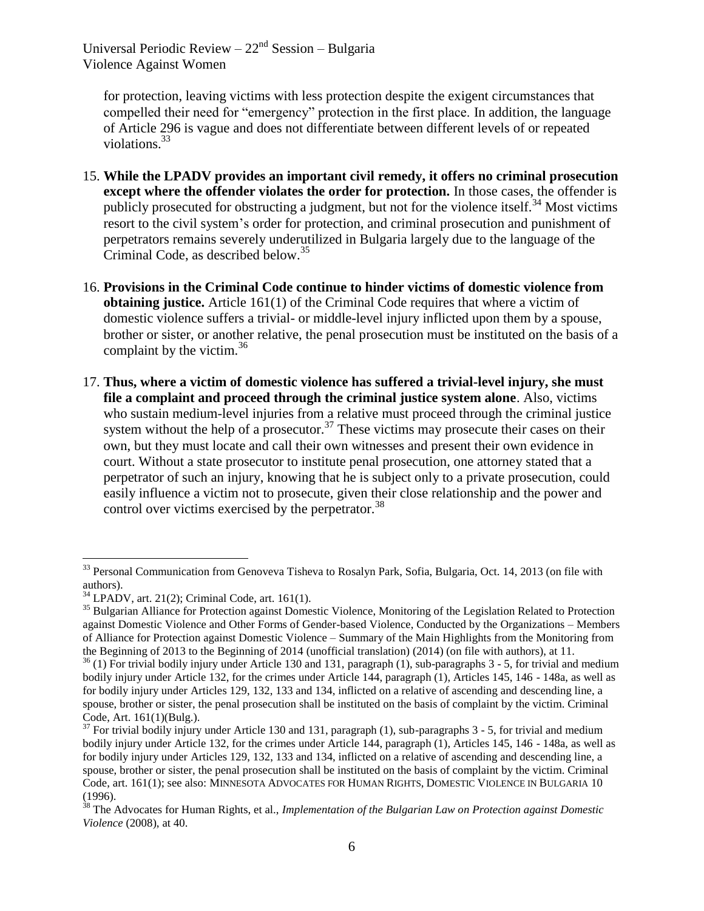for protection, leaving victims with less protection despite the exigent circumstances that compelled their need for "emergency" protection in the first place. In addition, the language of Article 296 is vague and does not differentiate between different levels of or repeated violations.<sup>33</sup>

- 15. **While the LPADV provides an important civil remedy, it offers no criminal prosecution except where the offender violates the order for protection.** In those cases, the offender is publicly prosecuted for obstructing a judgment, but not for the violence itself.<sup>34</sup> Most victims resort to the civil system's order for protection, and criminal prosecution and punishment of perpetrators remains severely underutilized in Bulgaria largely due to the language of the Criminal Code, as described below. 35
- 16. **Provisions in the Criminal Code continue to hinder victims of domestic violence from obtaining justice.** Article 161(1) of the Criminal Code requires that where a victim of domestic violence suffers a trivial- or middle-level injury inflicted upon them by a spouse, brother or sister, or another relative, the penal prosecution must be instituted on the basis of a complaint by the victim. $36$
- 17. **Thus, where a victim of domestic violence has suffered a trivial-level injury, she must file a complaint and proceed through the criminal justice system alone**. Also, victims who sustain medium-level injuries from a relative must proceed through the criminal justice system without the help of a prosecutor.<sup>37</sup> These victims may prosecute their cases on their own, but they must locate and call their own witnesses and present their own evidence in court. Without a state prosecutor to institute penal prosecution, one attorney stated that a perpetrator of such an injury, knowing that he is subject only to a private prosecution, could easily influence a victim not to prosecute, given their close relationship and the power and control over victims exercised by the perpetrator.  $38$

<sup>&</sup>lt;sup>33</sup> Personal Communication from Genoveva Tisheva to Rosalyn Park, Sofia, Bulgaria, Oct. 14, 2013 (on file with authors).

 $34$  LPADV, art. 21(2); Criminal Code, art. 161(1).

<sup>&</sup>lt;sup>35</sup> Bulgarian Alliance for Protection against Domestic Violence, Monitoring of the Legislation Related to Protection against Domestic Violence and Other Forms of Gender-based Violence, Conducted by the Organizations – Members of Alliance for Protection against Domestic Violence – Summary of the Main Highlights from the Monitoring from the Beginning of 2013 to the Beginning of 2014 (unofficial translation) (2014) (on file with authors), at 11.

 $36$  (1) For trivial bodily injury under Article 130 and 131, paragraph (1), sub-paragraphs 3 - 5, for trivial and medium bodily injury under Article 132, for the crimes under Article 144, paragraph (1), Articles 145, 146 - 148a, as well as for bodily injury under Articles 129, 132, 133 and 134, inflicted on a relative of ascending and descending line, a spouse, brother or sister, the penal prosecution shall be instituted on the basis of complaint by the victim. Criminal Code, Art. 161(1)(Bulg.).

 $37$  For trivial bodily injury under Article 130 and 131, paragraph (1), sub-paragraphs 3 - 5, for trivial and medium bodily injury under Article 132, for the crimes under Article 144, paragraph (1), Articles 145, 146 - 148a, as well as for bodily injury under Articles 129, 132, 133 and 134, inflicted on a relative of ascending and descending line, a spouse, brother or sister, the penal prosecution shall be instituted on the basis of complaint by the victim. Criminal Code, art. 161(1); see also: MINNESOTA ADVOCATES FOR HUMAN RIGHTS, DOMESTIC VIOLENCE IN BULGARIA 10 (1996).

<sup>38</sup> The Advocates for Human Rights, et al., *Implementation of the Bulgarian Law on Protection against Domestic Violence* (2008), at 40.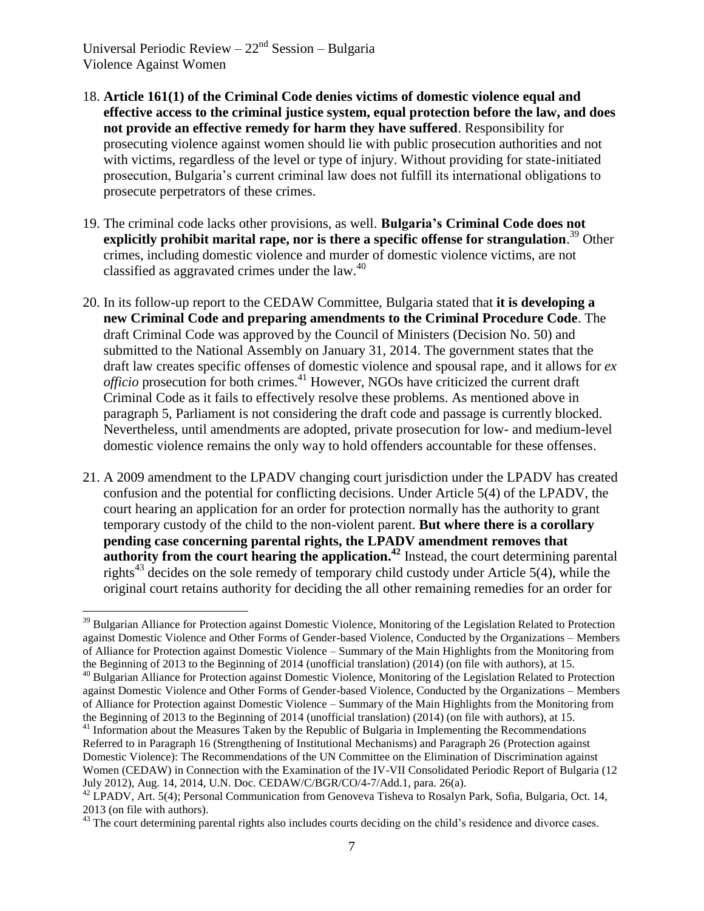- 18. **Article 161(1) of the Criminal Code denies victims of domestic violence equal and effective access to the criminal justice system, equal protection before the law, and does not provide an effective remedy for harm they have suffered**. Responsibility for prosecuting violence against women should lie with public prosecution authorities and not with victims, regardless of the level or type of injury. Without providing for state-initiated prosecution, Bulgaria's current criminal law does not fulfill its international obligations to prosecute perpetrators of these crimes.
- 19. The criminal code lacks other provisions, as well. **Bulgaria's Criminal Code does not**  explicitly prohibit marital rape, nor is there a specific offense for strangulation.<sup>39</sup> Other crimes, including domestic violence and murder of domestic violence victims, are not classified as aggravated crimes under the law. $40$
- 20. In its follow-up report to the CEDAW Committee, Bulgaria stated that **it is developing a new Criminal Code and preparing amendments to the Criminal Procedure Code**. The draft Criminal Code was approved by the Council of Ministers (Decision No. 50) and submitted to the National Assembly on January 31, 2014. The government states that the draft law creates specific offenses of domestic violence and spousal rape, and it allows for *ex officio* prosecution for both crimes. <sup>41</sup> However, NGOs have criticized the current draft Criminal Code as it fails to effectively resolve these problems. As mentioned above in paragraph 5, Parliament is not considering the draft code and passage is currently blocked. Nevertheless, until amendments are adopted, private prosecution for low- and medium-level domestic violence remains the only way to hold offenders accountable for these offenses.
- 21. A 2009 amendment to the LPADV changing court jurisdiction under the LPADV has created confusion and the potential for conflicting decisions. Under Article 5(4) of the LPADV, the court hearing an application for an order for protection normally has the authority to grant temporary custody of the child to the non-violent parent. **But where there is a corollary pending case concerning parental rights, the LPADV amendment removes that authority from the court hearing the application.<sup>42</sup> Instead, the court determining parental** rights<sup>43</sup> decides on the sole remedy of temporary child custody under Article 5(4), while the original court retains authority for deciding the all other remaining remedies for an order for

 $\overline{a}$ <sup>39</sup> Bulgarian Alliance for Protection against Domestic Violence, Monitoring of the Legislation Related to Protection against Domestic Violence and Other Forms of Gender-based Violence, Conducted by the Organizations – Members of Alliance for Protection against Domestic Violence – Summary of the Main Highlights from the Monitoring from the Beginning of 2013 to the Beginning of 2014 (unofficial translation) (2014) (on file with authors), at 15.

<sup>&</sup>lt;sup>40</sup> Bulgarian Alliance for Protection against Domestic Violence, Monitoring of the Legislation Related to Protection against Domestic Violence and Other Forms of Gender-based Violence, Conducted by the Organizations – Members of Alliance for Protection against Domestic Violence – Summary of the Main Highlights from the Monitoring from the Beginning of 2013 to the Beginning of 2014 (unofficial translation) (2014) (on file with authors), at 15.

 $41$  Information about the Measures Taken by the Republic of Bulgaria in Implementing the Recommendations Referred to in Paragraph 16 (Strengthening of Institutional Mechanisms) and Paragraph 26 (Protection against Domestic Violence): The Recommendations of the UN Committee on the Elimination of Discrimination against Women (CEDAW) in Connection with the Examination of the IV-VII Consolidated Periodic Report of Bulgaria (12 July 2012), Aug. 14, 2014, U.N. Doc. CEDAW/C/BGR/CO/4-7/Add.1, para. 26(a).

<sup>&</sup>lt;sup>42</sup> LPADV, Art. 5(4); Personal Communication from Genoveva Tisheva to Rosalyn Park, Sofia, Bulgaria, Oct. 14, 2013 (on file with authors).

 $43$  The court determining parental rights also includes courts deciding on the child's residence and divorce cases.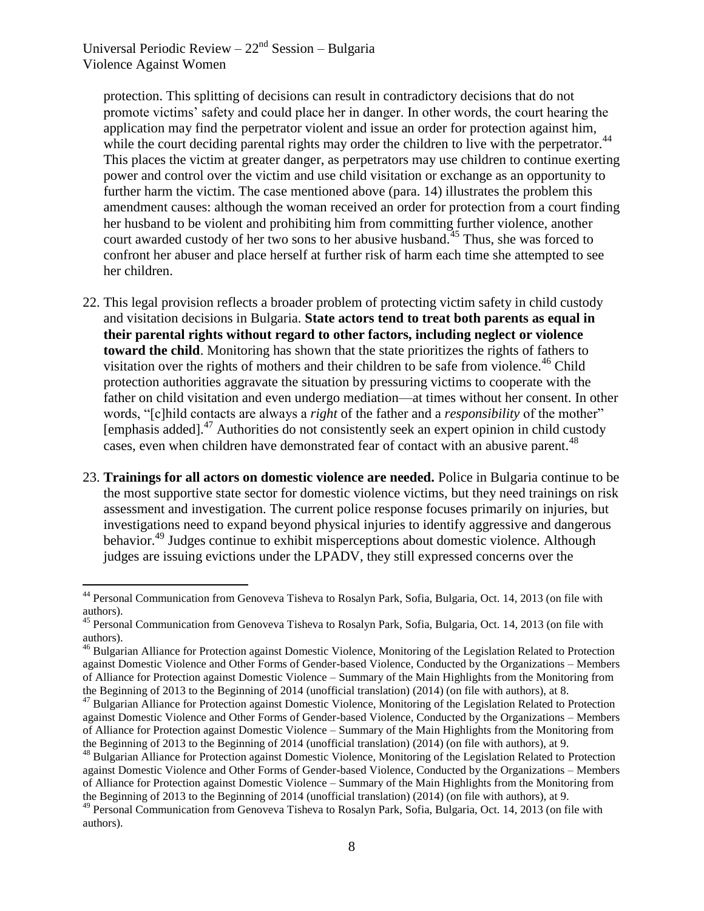$\overline{a}$ 

protection. This splitting of decisions can result in contradictory decisions that do not promote victims' safety and could place her in danger. In other words, the court hearing the application may find the perpetrator violent and issue an order for protection against him, while the court deciding parental rights may order the children to live with the perpetrator.<sup>44</sup> This places the victim at greater danger, as perpetrators may use children to continue exerting power and control over the victim and use child visitation or exchange as an opportunity to further harm the victim. The case mentioned above (para. 14) illustrates the problem this amendment causes: although the woman received an order for protection from a court finding her husband to be violent and prohibiting him from committing further violence, another court awarded custody of her two sons to her abusive husband.<sup>45</sup> Thus, she was forced to confront her abuser and place herself at further risk of harm each time she attempted to see her children.

- 22. This legal provision reflects a broader problem of protecting victim safety in child custody and visitation decisions in Bulgaria. **State actors tend to treat both parents as equal in their parental rights without regard to other factors, including neglect or violence toward the child**. Monitoring has shown that the state prioritizes the rights of fathers to visitation over the rights of mothers and their children to be safe from violence.<sup>46</sup> Child protection authorities aggravate the situation by pressuring victims to cooperate with the father on child visitation and even undergo mediation—at times without her consent. In other words, "[c]hild contacts are always a *right* of the father and a *responsibility* of the mother" [emphasis added].<sup>47</sup> Authorities do not consistently seek an expert opinion in child custody cases, even when children have demonstrated fear of contact with an abusive parent.<sup>48</sup>
- 23. **Trainings for all actors on domestic violence are needed.** Police in Bulgaria continue to be the most supportive state sector for domestic violence victims, but they need trainings on risk assessment and investigation. The current police response focuses primarily on injuries, but investigations need to expand beyond physical injuries to identify aggressive and dangerous behavior.<sup>49</sup> Judges continue to exhibit misperceptions about domestic violence. Although judges are issuing evictions under the LPADV, they still expressed concerns over the

<sup>44</sup> Personal Communication from Genoveva Tisheva to Rosalyn Park, Sofia, Bulgaria, Oct. 14, 2013 (on file with authors).

<sup>&</sup>lt;sup>45</sup> Personal Communication from Genoveva Tisheva to Rosalyn Park, Sofia, Bulgaria, Oct. 14, 2013 (on file with authors).

<sup>&</sup>lt;sup>46</sup> Bulgarian Alliance for Protection against Domestic Violence, Monitoring of the Legislation Related to Protection against Domestic Violence and Other Forms of Gender-based Violence, Conducted by the Organizations – Members of Alliance for Protection against Domestic Violence – Summary of the Main Highlights from the Monitoring from the Beginning of 2013 to the Beginning of 2014 (unofficial translation) (2014) (on file with authors), at 8.

<sup>&</sup>lt;sup>47</sup> Bulgarian Alliance for Protection against Domestic Violence, Monitoring of the Legislation Related to Protection against Domestic Violence and Other Forms of Gender-based Violence, Conducted by the Organizations – Members of Alliance for Protection against Domestic Violence – Summary of the Main Highlights from the Monitoring from the Beginning of 2013 to the Beginning of 2014 (unofficial translation) (2014) (on file with authors), at 9.

<sup>&</sup>lt;sup>48</sup> Bulgarian Alliance for Protection against Domestic Violence, Monitoring of the Legislation Related to Protection against Domestic Violence and Other Forms of Gender-based Violence, Conducted by the Organizations – Members of Alliance for Protection against Domestic Violence – Summary of the Main Highlights from the Monitoring from the Beginning of 2013 to the Beginning of 2014 (unofficial translation) (2014) (on file with authors), at 9.

<sup>&</sup>lt;sup>49</sup> Personal Communication from Genoveva Tisheva to Rosalyn Park, Sofia, Bulgaria, Oct. 14, 2013 (on file with authors).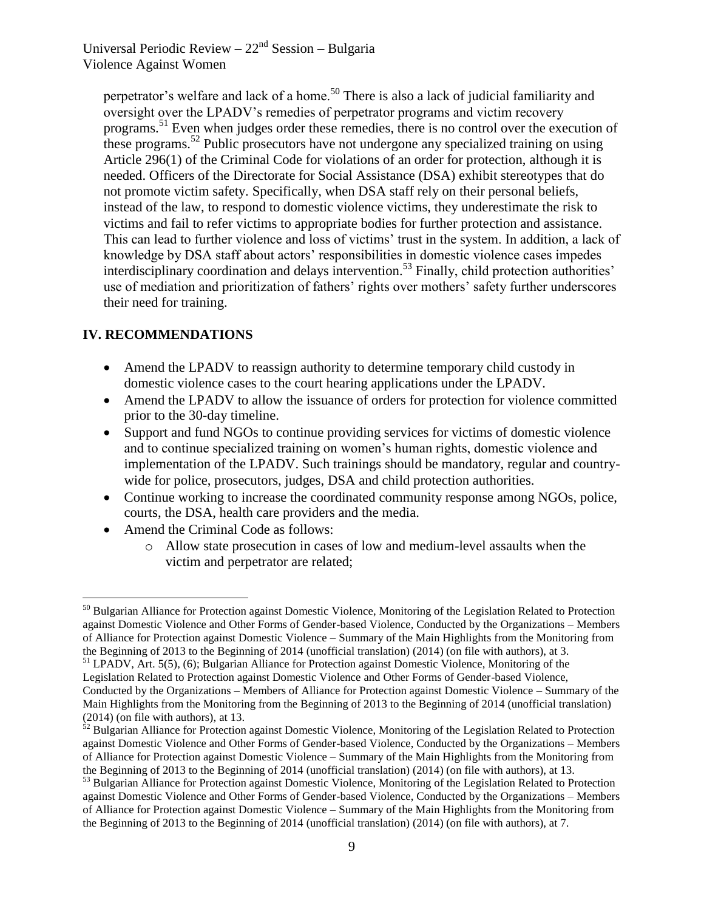perpetrator's welfare and lack of a home.<sup>50</sup> There is also a lack of judicial familiarity and oversight over the LPADV's remedies of perpetrator programs and victim recovery programs.<sup>51</sup> Even when judges order these remedies, there is no control over the execution of these programs.<sup>52</sup> Public prosecutors have not undergone any specialized training on using Article 296(1) of the Criminal Code for violations of an order for protection, although it is needed. Officers of the Directorate for Social Assistance (DSA) exhibit stereotypes that do not promote victim safety. Specifically, when DSA staff rely on their personal beliefs, instead of the law, to respond to domestic violence victims, they underestimate the risk to victims and fail to refer victims to appropriate bodies for further protection and assistance. This can lead to further violence and loss of victims' trust in the system. In addition, a lack of knowledge by DSA staff about actors' responsibilities in domestic violence cases impedes interdisciplinary coordination and delays intervention.<sup>53</sup> Finally, child protection authorities' use of mediation and prioritization of fathers' rights over mothers' safety further underscores their need for training.

## **IV. RECOMMENDATIONS**

- Amend the LPADV to reassign authority to determine temporary child custody in domestic violence cases to the court hearing applications under the LPADV.
- Amend the LPADV to allow the issuance of orders for protection for violence committed prior to the 30-day timeline.
- Support and fund NGOs to continue providing services for victims of domestic violence and to continue specialized training on women's human rights, domestic violence and implementation of the LPADV. Such trainings should be mandatory, regular and countrywide for police, prosecutors, judges, DSA and child protection authorities.
- Continue working to increase the coordinated community response among NGOs, police, courts, the DSA, health care providers and the media.
- Amend the Criminal Code as follows:
	- o Allow state prosecution in cases of low and medium-level assaults when the victim and perpetrator are related;

 $\overline{a}$ <sup>50</sup> Bulgarian Alliance for Protection against Domestic Violence, Monitoring of the Legislation Related to Protection against Domestic Violence and Other Forms of Gender-based Violence, Conducted by the Organizations – Members of Alliance for Protection against Domestic Violence – Summary of the Main Highlights from the Monitoring from the Beginning of 2013 to the Beginning of 2014 (unofficial translation) (2014) (on file with authors), at 3.

<sup>51</sup> LPADV, Art. 5(5), (6); Bulgarian Alliance for Protection against Domestic Violence, Monitoring of the Legislation Related to Protection against Domestic Violence and Other Forms of Gender-based Violence, Conducted by the Organizations – Members of Alliance for Protection against Domestic Violence – Summary of the Main Highlights from the Monitoring from the Beginning of 2013 to the Beginning of 2014 (unofficial translation) (2014) (on file with authors), at 13.

 $52$  Bulgarian Alliance for Protection against Domestic Violence, Monitoring of the Legislation Related to Protection against Domestic Violence and Other Forms of Gender-based Violence, Conducted by the Organizations – Members of Alliance for Protection against Domestic Violence – Summary of the Main Highlights from the Monitoring from the Beginning of 2013 to the Beginning of 2014 (unofficial translation) (2014) (on file with authors), at 13.

<sup>&</sup>lt;sup>53</sup> Bulgarian Alliance for Protection against Domestic Violence, Monitoring of the Legislation Related to Protection against Domestic Violence and Other Forms of Gender-based Violence, Conducted by the Organizations – Members of Alliance for Protection against Domestic Violence – Summary of the Main Highlights from the Monitoring from the Beginning of 2013 to the Beginning of 2014 (unofficial translation) (2014) (on file with authors), at 7.